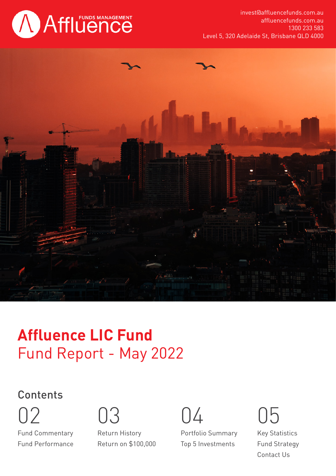

invest@affluencefunds.com.au affluencefunds.com.au 1300 233 583 Level 5, 320 Adelaide St, Brisbane QLD 4000



# Fund Report - May 2022 **Affluence LIC Fund**

# **Contents**

Fund Commentary Fund Performance 02 03 04 05

Return History Return on \$100,000

Portfolio Summary Top 5 Investments

Key Statistics Fund Strategy Contact Us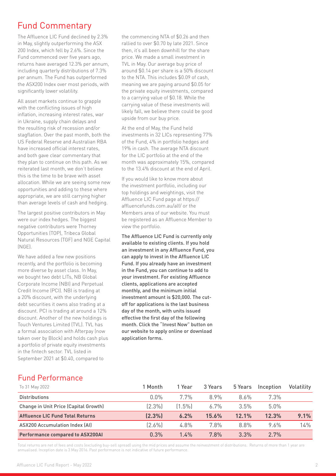## Fund Commentary

The Affluence LIC Fund declined by 2.3% in May, slightly outperforming the ASX 200 Index, which fell by 2.6%. Since the Fund commenced over five years ago, returns have averaged 12.3% per annum, including quarterly distributions of 7.3% per annum. The Fund has outperformed the ASX200 Index over most periods, with significantly lower volatility.

All asset markets continue to grapple with the conflicting issues of high inflation, increasing interest rates, war in Ukraine, supply chain delays and the resulting risk of recession and/or stagflation. Over the past month, both the US Federal Reserve and Australian RBA have increased official interest rates, and both gave clear commentary that they plan to continue on this path. As we reiterated last month, we don't believe this is the time to be brave with asset allocation. While we are seeing some new opportunities and adding to these where appropriate, we are still carrying higher than average levels of cash and hedging.

The largest positive contributors in May were our index hedges. The biggest negative contributors were Thorney Opportunities (TOP), Tribeca Global Natural Resources (TGF) and NGE Capital (NGE).

We have added a few new positions recently, and the portfolio is becoming more diverse by asset class. In May, we bought two debt LITs, NB Global Corporate Income (NBI) and Perpetual Credit Income (PCI). NBI is trading at a 20% discount, with the underlying debt securities it owns also trading at a discount. PCI is trading at around a 12% discount. Another of the new holdings is Touch Ventures Limited (TVL). TVL has a formal association with Afterpay (now taken over by Block) and holds cash plus a portfolio of private equity investments in the fintech sector. TVL listed in September 2021 at \$0.40, compared to

the commencing NTA of \$0.26 and then rallied to over \$0.70 by late 2021. Since then, it's all been downhill for the share price. We made a small investment in TVL in May. Our average buy price of around \$0.14 per share is a 50% discount to the NTA. This includes \$0.09 of cash, meaning we are paying around \$0.05 for the private equity investments, compared to a carrying value of \$0.18. While the carrying value of these investments will likely fall, we believe there could be good upside from our buy price.

At the end of May, the Fund held investments in 32 LICs representing 77% of the Fund, 4% in portfolio hedges and 19% in cash. The average NTA discount for the LIC portfolio at the end of the month was approximately 15%, compared to the 13.4% discount at the end of April.

If you would like to know more about the investment portfolio, including our top holdings and weightings, visit the Affluence LIC Fund page at https:// affluencefunds.com.au/alf/ or the Members area of our website. You must be registered as an Affluence Member to view the portfolio.

The Affluence LIC Fund is currently only available to existing clients. If you hold an investment in any Affluence Fund, you can apply to invest in the Affluence LIC Fund. If you already have an investment in the Fund, you can continue to add to your investment. For existing Affluence clients, applications are accepted monthly, and the minimum initial investment amount is \$20,000. The cutoff for applications is the last business day of the month, with units issued effective the first day of the following month. Click the "Invest Now" button on our website to apply online or download application forms.

#### Fund Performance

| To 31 May 2022                          | 1 Month   | 1 Year    | 3 Years | 5 Years | Inception | Volatility |
|-----------------------------------------|-----------|-----------|---------|---------|-----------|------------|
| <b>Distributions</b>                    | $0.0\%$   | 7.7%      | 8.9%    | $8.6\%$ | 7.3%      |            |
| Change in Unit Price (Capital Growth)   | $(2.3\%)$ | $(1.5\%)$ | $6.7\%$ | 3.5%    | $5.0\%$   |            |
| <b>Affluence LIC Fund Total Returns</b> | (2.3%)    | 6.2%      | 15.6%   | 12.1%   | 12.3%     | 9.1%       |
| ASX200 Accumulation Index (AI)          | (2.6%)    | 4.8%      | 7.8%    | 8.8%    | 9.6%      | 14%        |
| <b>Performance compared to ASX200AI</b> | 0.3%      | 1.4%      | 7.8%    | 3.3%    | 2.7%      |            |

Total returns are net of fees and costs (excluding buy-sell spread) using the mid prices and assume the reinvestment of distributions. Returns of more than 1 year are annualised. Inception date is 3 May 2016. Past performance is not indicative of future performance.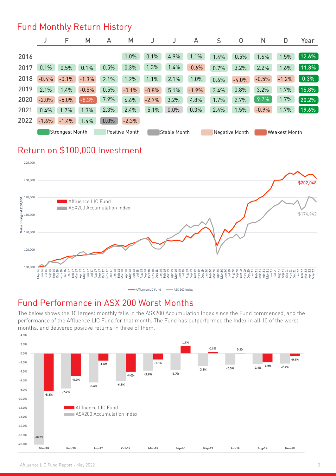#### Fund Monthly Return History

|      | J                                        | F       | M            | A    | M       |                |      | A                    | S    | 0       | N       | D       | Year  |
|------|------------------------------------------|---------|--------------|------|---------|----------------|------|----------------------|------|---------|---------|---------|-------|
| 2016 |                                          |         |              |      | 1.0%    | 0.1%           | 4.9% | 1.1%                 | 1.4% | 0.5%    | 1.6%    | 1.5%    | 12.6% |
| 2017 | 0.1%                                     | 0.5%    | 0.1%         | 0.5% | 0.3%    | 1.3%           | 1.4% | $-0.6%$              | 0.7% | 3.2%    | 2.2%    | 1.6%    | 11.8% |
| 2018 | $-0.4%$                                  | $-0.1%$ | $-1.3%$      | 2.1% | 1.2%    | 1.1%           | 2.1% | 1.0%                 | 0.6% | $-4.0%$ | $-0.5%$ | $-1.2%$ | 0.3%  |
| 2019 | 2.1%                                     | 1.4%    | $-0.5%$      | 0.5% | $-0.1%$ | $-0.8%$        | 5.1% | $-1.9%$              | 3.4% | 0.8%    | 3.2%    | 1.7%    | 15.8% |
| 2020 | $-2.0%$                                  | $-5.0%$ | $-8.3\%$     | 7.9% | 6.6%    | $-2.7%$        | 3.2% | 4.8%                 | 1.7% | 2.7%    | 9.7%    | 1.7%    | 20.2% |
| 2021 | 0.4%                                     | 1.7%    | 1.3%         | 2.3% | 2.4%    | 5.1%           | 0.0% | 0.3%                 | 2.4% | 1.5%    | $-0.9%$ | 1.7%    | 19.6% |
| 2022 | $-1.6%$                                  | $-1.4%$ | 1.4%         | 0.0% | $-2.3%$ |                |      |                      |      |         |         |         |       |
|      | <b>Positive Month</b><br>Strongest Month |         | Stable Month |      |         | Negative Month |      | <b>Weakest Month</b> |      |         |         |         |       |

# Return on \$100,000 Investment



#### Fund Performance in ASX 200 Worst Months

The below shows the 10 largest monthly falls in the ASX200 Accumulation Index since the Fund commenced, and the performance of the Affluence LIC Fund for that month. The Fund has outperformed the Index in all 10 of the worst months, and delivered positive returns in three of them.

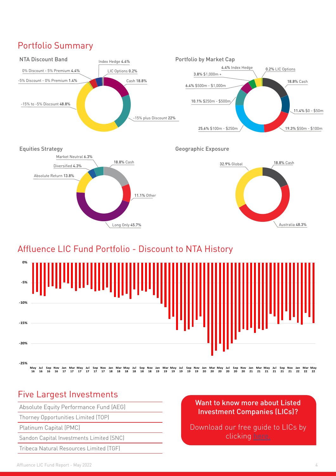# Portfolio Summary



## Affluence LIC Fund Portfolio - Discount to NTA History



#### Five Largest Investments

Absolute Equity Performance Fund (AEG)

Thorney Opportunities Limited (TOP)

Platinum Capital (PMC)

Sandon Capital Investments Limited (SNC)

Tribeca Natural Resources Limited (TGF)

#### Want to know more about Listed Investment Companies (LICs)?

Download our free guide to LICs by clicking [here.](https://affluencefunds.com.au/listed-investment-company-guide/)